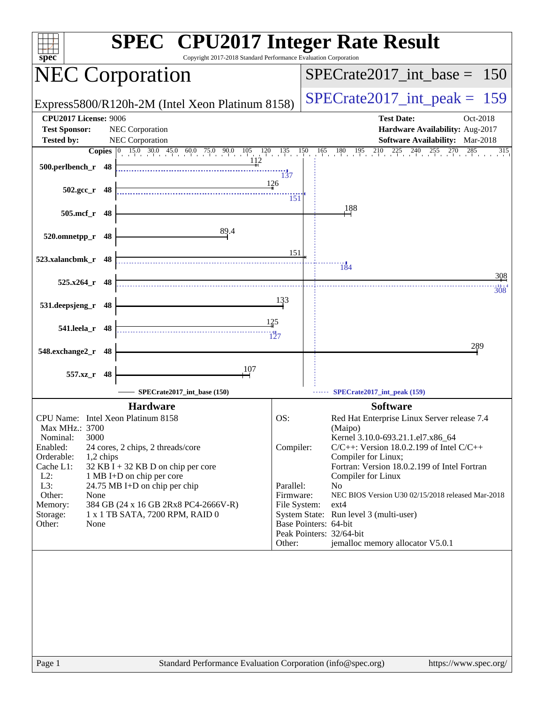| $spec^*$                                             | <b>SPEC<sup>®</sup></b> CPU2017 Integer Rate Result<br>Copyright 2017-2018 Standard Performance Evaluation Corporation                     |                   |                                                                           |
|------------------------------------------------------|--------------------------------------------------------------------------------------------------------------------------------------------|-------------------|---------------------------------------------------------------------------|
| <b>NEC Corporation</b>                               |                                                                                                                                            |                   | $SPECrate2017\_int\_base = 150$                                           |
|                                                      | Express5800/R120h-2M (Intel Xeon Platinum 8158)                                                                                            |                   | $SPECrate2017\_int\_peak = 159$                                           |
| <b>CPU2017 License: 9006</b>                         |                                                                                                                                            |                   | <b>Test Date:</b><br>Oct-2018                                             |
| <b>Test Sponsor:</b><br><b>Tested by:</b>            | NEC Corporation<br>NEC Corporation                                                                                                         |                   | Hardware Availability: Aug-2017<br><b>Software Availability:</b> Mar-2018 |
|                                                      | <b>Copies</b> $\begin{bmatrix} 0 & 15.0 & 30.0 & 45.0 & 60.0 & 75.0 & 90.0 & 105 & 120 & 135 & 150 \\ & & & & & & & 112 & & \end{bmatrix}$ |                   | $165$ $180$ $195$ $210$ $225$ $240$ $255$<br>$270$ $285$<br>315           |
| 500.perlbench_r 48                                   |                                                                                                                                            |                   |                                                                           |
|                                                      |                                                                                                                                            | 137<br>126        |                                                                           |
| $502.\text{gcc r}$ 48                                |                                                                                                                                            | 151               |                                                                           |
| 505.mcf_r<br>48                                      |                                                                                                                                            |                   | 188                                                                       |
|                                                      |                                                                                                                                            |                   |                                                                           |
| 520.omnetpp_r<br>48                                  | 89.4                                                                                                                                       |                   |                                                                           |
|                                                      |                                                                                                                                            | 151               |                                                                           |
| 523.xalancbmk_r 48                                   |                                                                                                                                            |                   | $\frac{113}{4}$                                                           |
| $525.x264$ r 48                                      |                                                                                                                                            |                   | 308                                                                       |
|                                                      |                                                                                                                                            | 133               | 308                                                                       |
| 531.deepsjeng_r<br>48                                |                                                                                                                                            |                   |                                                                           |
| 541.leela_r<br>48                                    |                                                                                                                                            | $\frac{125}{2}$   |                                                                           |
|                                                      |                                                                                                                                            | $\frac{114}{127}$ |                                                                           |
| 548.exchange2_r<br>48                                |                                                                                                                                            |                   | 289                                                                       |
|                                                      | 107                                                                                                                                        |                   |                                                                           |
| 557.xz_r<br>48                                       |                                                                                                                                            |                   |                                                                           |
|                                                      | SPECrate2017_int_base (150)                                                                                                                |                   | SPECrate2017_int_peak (159)                                               |
|                                                      | <b>Hardware</b>                                                                                                                            |                   | <b>Software</b>                                                           |
| CPU Name: Intel Xeon Platinum 8158<br>Max MHz.: 3700 |                                                                                                                                            | OS:               | Red Hat Enterprise Linux Server release 7.4<br>(Maipo)                    |
| 3000<br>Nominal:                                     |                                                                                                                                            |                   | Kernel 3.10.0-693.21.1.el7.x86 64                                         |
| Enabled:<br>Orderable:<br>1,2 chips                  | 24 cores, 2 chips, 2 threads/core                                                                                                          | Compiler:         | $C/C++$ : Version 18.0.2.199 of Intel $C/C++$<br>Compiler for Linux;      |
| Cache L1:                                            | $32$ KB I + 32 KB D on chip per core                                                                                                       |                   | Fortran: Version 18.0.2.199 of Intel Fortran                              |
| $L2$ :<br>L3:                                        | 1 MB I+D on chip per core<br>24.75 MB I+D on chip per chip                                                                                 | Parallel:         | Compiler for Linux<br>N <sub>o</sub>                                      |
| Other:<br>None                                       |                                                                                                                                            | Firmware:         | NEC BIOS Version U30 02/15/2018 released Mar-2018                         |
| Memory:<br>Storage:                                  | 384 GB (24 x 16 GB 2Rx8 PC4-2666V-R)<br>1 x 1 TB SATA, 7200 RPM, RAID 0                                                                    | File System:      | $ext{4}$<br>System State: Run level 3 (multi-user)                        |
| Other:<br>None                                       |                                                                                                                                            |                   | Base Pointers: 64-bit                                                     |
|                                                      |                                                                                                                                            | Other:            | Peak Pointers: 32/64-bit<br>jemalloc memory allocator V5.0.1              |
|                                                      |                                                                                                                                            |                   |                                                                           |
|                                                      |                                                                                                                                            |                   |                                                                           |
|                                                      |                                                                                                                                            |                   |                                                                           |
|                                                      |                                                                                                                                            |                   |                                                                           |
|                                                      |                                                                                                                                            |                   |                                                                           |
|                                                      |                                                                                                                                            |                   |                                                                           |
|                                                      |                                                                                                                                            |                   |                                                                           |
|                                                      |                                                                                                                                            |                   |                                                                           |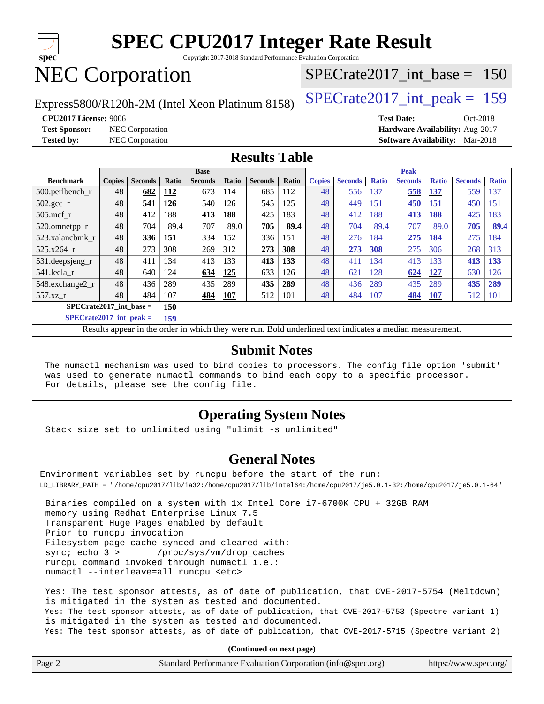

Copyright 2017-2018 Standard Performance Evaluation Corporation

# NEC Corporation

Express5800/R120h-2M (Intel Xeon Platinum 8158)  $\vert$  [SPECrate2017\\_int\\_peak =](http://www.spec.org/auto/cpu2017/Docs/result-fields.html#SPECrate2017intpeak) 159

[SPECrate2017\\_int\\_base =](http://www.spec.org/auto/cpu2017/Docs/result-fields.html#SPECrate2017intbase) 150

**[CPU2017 License:](http://www.spec.org/auto/cpu2017/Docs/result-fields.html#CPU2017License)** 9006 **[Test Date:](http://www.spec.org/auto/cpu2017/Docs/result-fields.html#TestDate)** Oct-2018

**[Test Sponsor:](http://www.spec.org/auto/cpu2017/Docs/result-fields.html#TestSponsor)** NEC Corporation **[Hardware Availability:](http://www.spec.org/auto/cpu2017/Docs/result-fields.html#HardwareAvailability)** Aug-2017 **[Tested by:](http://www.spec.org/auto/cpu2017/Docs/result-fields.html#Testedby)** NEC Corporation **[Software Availability:](http://www.spec.org/auto/cpu2017/Docs/result-fields.html#SoftwareAvailability)** Mar-2018

#### **[Results Table](http://www.spec.org/auto/cpu2017/Docs/result-fields.html#ResultsTable)**

|                                  | <b>Base</b>   |                |       |                | <b>Peak</b>  |                |       |               |                |              |                |              |                |              |
|----------------------------------|---------------|----------------|-------|----------------|--------------|----------------|-------|---------------|----------------|--------------|----------------|--------------|----------------|--------------|
| <b>Benchmark</b>                 | <b>Copies</b> | <b>Seconds</b> | Ratio | <b>Seconds</b> | <b>Ratio</b> | <b>Seconds</b> | Ratio | <b>Copies</b> | <b>Seconds</b> | <b>Ratio</b> | <b>Seconds</b> | <b>Ratio</b> | <b>Seconds</b> | <b>Ratio</b> |
| $500.$ perlbench_r               | 48            | 682            | 112   | 673            | 114          | 685            | 112   | 48            | 556            | 137          | 558            | 137          | 559            | 137          |
| $502.\text{sec}$                 | 48            | 541            | 126   | 540            | 126          | 545            | 125   | 48            | 449            | 151          | 450            | 151          | 450            | 151          |
| $505$ .mcf r                     | 48            | 412            | 188   | 413            | 188          | 425            | 183   | 48            | 412            | 188          | 413            | 188          | 425            | 183          |
| 520.omnetpp_r                    | 48            | 704            | 89.4  | 707            | 89.0         | 705            | 89.4  | 48            | 704            | 89.4         | 707            | 89.0         | 705            | 89.4         |
| 523.xalancbmk r                  | 48            | 336            | 151   | 334            | 152          | 336            | 151   | 48            | 276            | 184          | 275            | 184          | 275            | 184          |
| 525.x264 r                       | 48            | 273            | 308   | 269            | 312          | 273            | 308   | 48            | 273            | <b>308</b>   | 275            | 306          | 268            | 313          |
| 531.deepsjeng_r                  | 48            | 411            | 134   | 413            | 133          | 413            | 133   | 48            | 411            | 134          | 413            | 133          | 413            | 133          |
| 541.leela r                      | 48            | 640            | 124   | 634            | 125          | 633            | 126   | 48            | 621            | 128          | 624            | 127          | 630            | 126          |
| 548.exchange2 r                  | 48            | 436            | 289   | 435            | 289          | 435            | 289   | 48            | 436            | 289          | 435            | 289          | 435            | 289          |
| 557.xz r                         | 48            | 484            | 107   | 484            | 107          | 512            | 101   | 48            | 484            | 107          | 484            | <b>107</b>   | 512            | 101          |
| $SPECrate2017$ int base =<br>150 |               |                |       |                |              |                |       |               |                |              |                |              |                |              |

**[SPECrate2017\\_int\\_peak =](http://www.spec.org/auto/cpu2017/Docs/result-fields.html#SPECrate2017intpeak) 159**

Results appear in the [order in which they were run.](http://www.spec.org/auto/cpu2017/Docs/result-fields.html#RunOrder) Bold underlined text [indicates a median measurement.](http://www.spec.org/auto/cpu2017/Docs/result-fields.html#Median)

#### **[Submit Notes](http://www.spec.org/auto/cpu2017/Docs/result-fields.html#SubmitNotes)**

 The numactl mechanism was used to bind copies to processors. The config file option 'submit' was used to generate numactl commands to bind each copy to a specific processor. For details, please see the config file.

#### **[Operating System Notes](http://www.spec.org/auto/cpu2017/Docs/result-fields.html#OperatingSystemNotes)**

Stack size set to unlimited using "ulimit -s unlimited"

#### **[General Notes](http://www.spec.org/auto/cpu2017/Docs/result-fields.html#GeneralNotes)**

Environment variables set by runcpu before the start of the run: LD\_LIBRARY\_PATH = "/home/cpu2017/lib/ia32:/home/cpu2017/lib/intel64:/home/cpu2017/je5.0.1-32:/home/cpu2017/je5.0.1-64"

 Binaries compiled on a system with 1x Intel Core i7-6700K CPU + 32GB RAM memory using Redhat Enterprise Linux 7.5 Transparent Huge Pages enabled by default Prior to runcpu invocation Filesystem page cache synced and cleared with: sync; echo 3 > /proc/sys/vm/drop\_caches runcpu command invoked through numactl i.e.: numactl --interleave=all runcpu <etc>

 Yes: The test sponsor attests, as of date of publication, that CVE-2017-5754 (Meltdown) is mitigated in the system as tested and documented. Yes: The test sponsor attests, as of date of publication, that CVE-2017-5753 (Spectre variant 1) is mitigated in the system as tested and documented. Yes: The test sponsor attests, as of date of publication, that CVE-2017-5715 (Spectre variant 2)

**(Continued on next page)**

| Page | Standard Performance Evaluation Corporation (info@spec.org) | https://www.spec.org/ |
|------|-------------------------------------------------------------|-----------------------|
|------|-------------------------------------------------------------|-----------------------|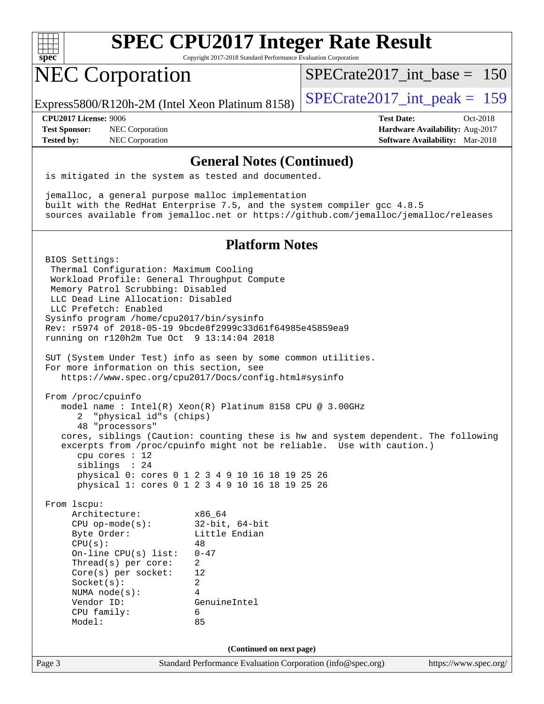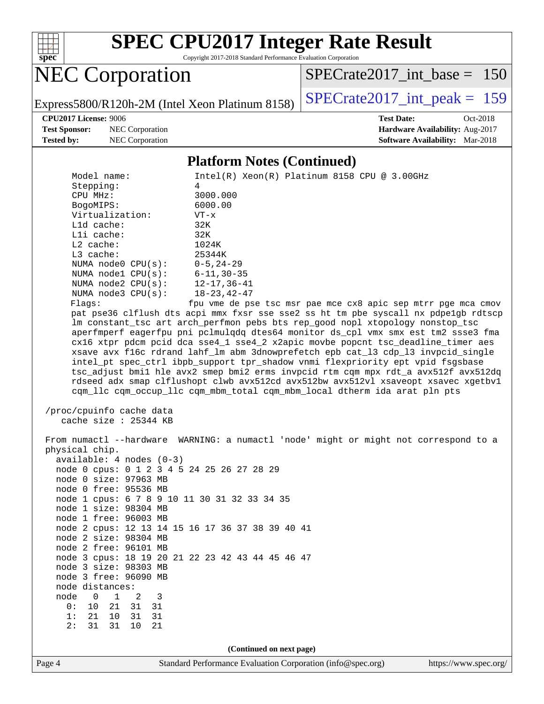

Copyright 2017-2018 Standard Performance Evaluation Corporation

NEC Corporation

[SPECrate2017\\_int\\_base =](http://www.spec.org/auto/cpu2017/Docs/result-fields.html#SPECrate2017intbase) 150

**[CPU2017 License:](http://www.spec.org/auto/cpu2017/Docs/result-fields.html#CPU2017License)** 9006 **[Test Date:](http://www.spec.org/auto/cpu2017/Docs/result-fields.html#TestDate)** Oct-2018

**[Test Sponsor:](http://www.spec.org/auto/cpu2017/Docs/result-fields.html#TestSponsor)** NEC Corporation **[Hardware Availability:](http://www.spec.org/auto/cpu2017/Docs/result-fields.html#HardwareAvailability)** Aug-2017

Express5800/R120h-2M (Intel Xeon Platinum 8158) [SPECrate2017\\_int\\_peak =](http://www.spec.org/auto/cpu2017/Docs/result-fields.html#SPECrate2017intpeak) 159

**[Tested by:](http://www.spec.org/auto/cpu2017/Docs/result-fields.html#Testedby)** NEC Corporation **[Software Availability:](http://www.spec.org/auto/cpu2017/Docs/result-fields.html#SoftwareAvailability)** Mar-2018

#### **[Platform Notes \(Continued\)](http://www.spec.org/auto/cpu2017/Docs/result-fields.html#PlatformNotes)**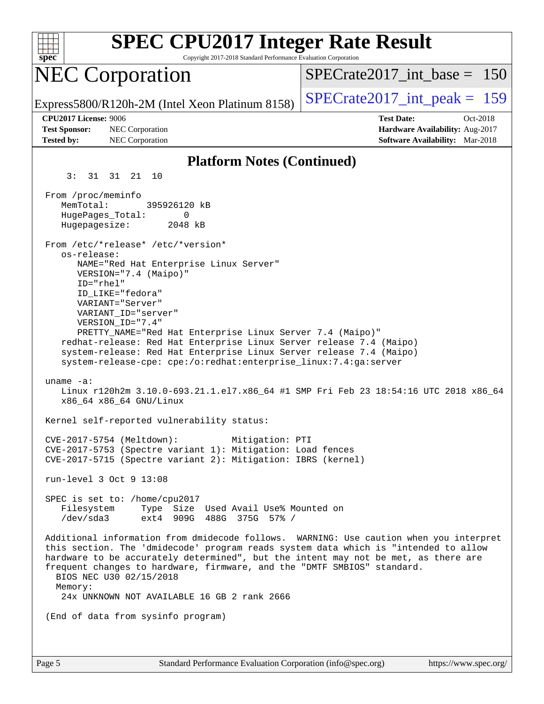| spec                                                                                | <b>SPEC CPU2017 Integer Rate Result</b><br>Copyright 2017-2018 Standard Performance Evaluation Corporation                                                                                                                                                                                                                                                                                                                        |                                 |                                                                                                |          |
|-------------------------------------------------------------------------------------|-----------------------------------------------------------------------------------------------------------------------------------------------------------------------------------------------------------------------------------------------------------------------------------------------------------------------------------------------------------------------------------------------------------------------------------|---------------------------------|------------------------------------------------------------------------------------------------|----------|
|                                                                                     | <b>NEC Corporation</b>                                                                                                                                                                                                                                                                                                                                                                                                            | $SPECrate2017\_int\_base = 150$ |                                                                                                |          |
|                                                                                     | Express5800/R120h-2M (Intel Xeon Platinum 8158)                                                                                                                                                                                                                                                                                                                                                                                   | $SPECrate2017\_int\_peak = 159$ |                                                                                                |          |
| CPU2017 License: 9006<br><b>Test Sponsor:</b><br><b>Tested by:</b>                  | NEC Corporation<br>NEC Corporation                                                                                                                                                                                                                                                                                                                                                                                                |                                 | <b>Test Date:</b><br>Hardware Availability: Aug-2017<br><b>Software Availability:</b> Mar-2018 | Oct-2018 |
|                                                                                     | <b>Platform Notes (Continued)</b>                                                                                                                                                                                                                                                                                                                                                                                                 |                                 |                                                                                                |          |
| 3:                                                                                  | 31 31 21 10                                                                                                                                                                                                                                                                                                                                                                                                                       |                                 |                                                                                                |          |
| From /proc/meminfo<br>MemTotal:<br>HugePages_Total:<br>Hugepagesize:<br>os-release: | 395926120 kB<br>0<br>2048 kB<br>From /etc/*release* /etc/*version*                                                                                                                                                                                                                                                                                                                                                                |                                 |                                                                                                |          |
| $ID="rhe1"$                                                                         | NAME="Red Hat Enterprise Linux Server"<br>VERSION="7.4 (Maipo)"<br>ID LIKE="fedora"<br>VARIANT="Server"<br>VARIANT_ID="server"<br>VERSION_ID="7.4"<br>PRETTY_NAME="Red Hat Enterprise Linux Server 7.4 (Maipo)"<br>redhat-release: Red Hat Enterprise Linux Server release 7.4 (Maipo)<br>system-release: Red Hat Enterprise Linux Server release 7.4 (Maipo)<br>system-release-cpe: cpe:/o:redhat:enterprise_linux:7.4:ga:server |                                 |                                                                                                |          |
| uname $-a$ :                                                                        | Linux r120h2m 3.10.0-693.21.1.el7.x86_64 #1 SMP Fri Feb 23 18:54:16 UTC 2018 x86_64<br>x86_64 x86_64 GNU/Linux                                                                                                                                                                                                                                                                                                                    |                                 |                                                                                                |          |
|                                                                                     | Kernel self-reported vulnerability status:                                                                                                                                                                                                                                                                                                                                                                                        |                                 |                                                                                                |          |
|                                                                                     | CVE-2017-5754 (Meltdown): Mitigation: PTI<br>CVE-2017-5753 (Spectre variant 1): Mitigation: Load fences<br>CVE-2017-5715 (Spectre variant 2): Mitigation: IBRS (kernel)                                                                                                                                                                                                                                                           |                                 |                                                                                                |          |
|                                                                                     | run-level 3 Oct 9 13:08                                                                                                                                                                                                                                                                                                                                                                                                           |                                 |                                                                                                |          |
|                                                                                     | SPEC is set to: /home/cpu2017<br>Filesystem Type Size Used Avail Use% Mounted on<br>/dev/sda3 ext4 909G 488G 375G 57% /                                                                                                                                                                                                                                                                                                           |                                 |                                                                                                |          |
| Memory:                                                                             | Additional information from dmidecode follows. WARNING: Use caution when you interpret<br>this section. The 'dmidecode' program reads system data which is "intended to allow<br>hardware to be accurately determined", but the intent may not be met, as there are<br>frequent changes to hardware, firmware, and the "DMTF SMBIOS" standard.<br>BIOS NEC U30 02/15/2018<br>24x UNKNOWN NOT AVAILABLE 16 GB 2 rank 2666          |                                 |                                                                                                |          |
|                                                                                     | (End of data from sysinfo program)                                                                                                                                                                                                                                                                                                                                                                                                |                                 |                                                                                                |          |
|                                                                                     |                                                                                                                                                                                                                                                                                                                                                                                                                                   |                                 |                                                                                                |          |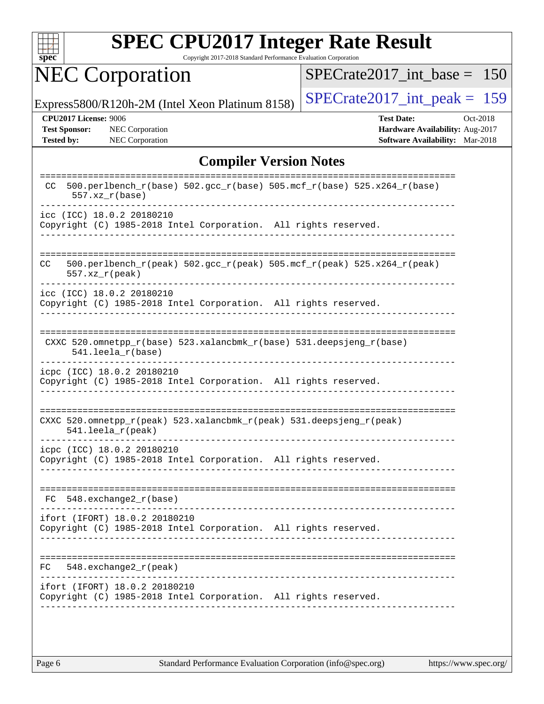

Copyright 2017-2018 Standard Performance Evaluation Corporation

# NEC Corporation

[SPECrate2017\\_int\\_base =](http://www.spec.org/auto/cpu2017/Docs/result-fields.html#SPECrate2017intbase) 150

Express5800/R120h-2M (Intel Xeon Platinum 8158) SPECrate  $2017$  int peak = 159

**[CPU2017 License:](http://www.spec.org/auto/cpu2017/Docs/result-fields.html#CPU2017License)** 9006 **[Test Date:](http://www.spec.org/auto/cpu2017/Docs/result-fields.html#TestDate)** Oct-2018

**[Test Sponsor:](http://www.spec.org/auto/cpu2017/Docs/result-fields.html#TestSponsor)** NEC Corporation **[Hardware Availability:](http://www.spec.org/auto/cpu2017/Docs/result-fields.html#HardwareAvailability)** Aug-2017 **[Tested by:](http://www.spec.org/auto/cpu2017/Docs/result-fields.html#Testedby)** NEC Corporation **[Software Availability:](http://www.spec.org/auto/cpu2017/Docs/result-fields.html#SoftwareAvailability)** Mar-2018

### **[Compiler Version Notes](http://www.spec.org/auto/cpu2017/Docs/result-fields.html#CompilerVersionNotes)**

| --------<br>500.perlbench_r(base) 502.gcc_r(base) 505.mcf_r(base) 525.x264_r(base)<br>CC.<br>$557.xx$ $r(base)$         |  |
|-------------------------------------------------------------------------------------------------------------------------|--|
| icc (ICC) 18.0.2 20180210<br>Copyright (C) 1985-2018 Intel Corporation. All rights reserved.                            |  |
| 500.perlbench_r(peak) 502.gcc_r(peak) 505.mcf_r(peak) 525.x264_r(peak)<br>CC.<br>$557. xz_r (peak)$                     |  |
| icc (ICC) 18.0.2 20180210<br>Copyright (C) 1985-2018 Intel Corporation. All rights reserved.                            |  |
| CXXC 520.omnetpp_r(base) 523.xalancbmk_r(base) 531.deepsjeng_r(base)<br>541.leela_r(base)                               |  |
| icpc (ICC) 18.0.2 20180210<br>Copyright (C) 1985-2018 Intel Corporation. All rights reserved.                           |  |
| CXXC 520.omnetpp $r(\text{peak})$ 523.xalancbmk $r(\text{peak})$ 531.deepsjeng $r(\text{peak})$<br>$541.$ leela r(peak) |  |
| icpc (ICC) 18.0.2 20180210<br>Copyright (C) 1985-2018 Intel Corporation. All rights reserved.                           |  |
| $548$ . exchange $2r$ (base)<br>FC                                                                                      |  |
| ifort (IFORT) 18.0.2 20180210<br>Copyright (C) 1985-2018 Intel Corporation. All rights reserved.                        |  |
| $548$ . exchange2 $r$ (peak)<br>FC                                                                                      |  |
| ifort (IFORT) 18.0.2 20180210<br>Copyright (C) 1985-2018 Intel Corporation. All rights reserved.                        |  |
|                                                                                                                         |  |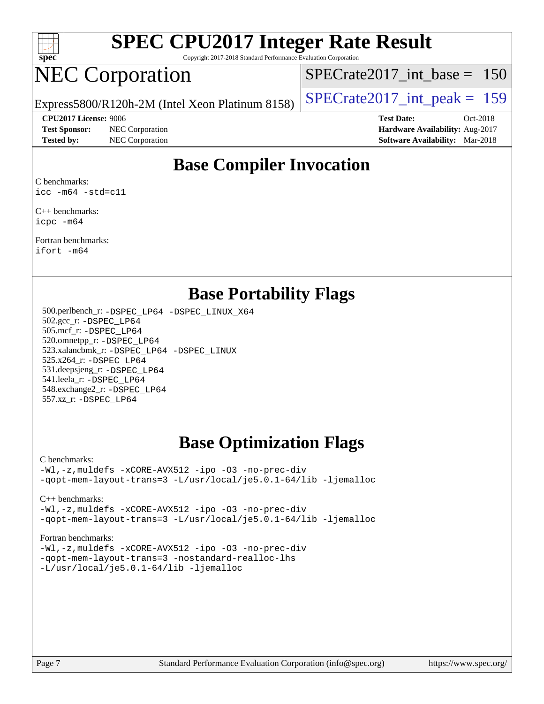

Copyright 2017-2018 Standard Performance Evaluation Corporation

## NEC Corporation

[SPECrate2017\\_int\\_base =](http://www.spec.org/auto/cpu2017/Docs/result-fields.html#SPECrate2017intbase) 150

Express5800/R120h-2M (Intel Xeon Platinum 8158)  $\vert$  [SPECrate2017\\_int\\_peak =](http://www.spec.org/auto/cpu2017/Docs/result-fields.html#SPECrate2017intpeak) 159

**[Test Sponsor:](http://www.spec.org/auto/cpu2017/Docs/result-fields.html#TestSponsor)** NEC Corporation **[Hardware Availability:](http://www.spec.org/auto/cpu2017/Docs/result-fields.html#HardwareAvailability)** Aug-2017

**[CPU2017 License:](http://www.spec.org/auto/cpu2017/Docs/result-fields.html#CPU2017License)** 9006 **[Test Date:](http://www.spec.org/auto/cpu2017/Docs/result-fields.html#TestDate)** Oct-2018 **[Tested by:](http://www.spec.org/auto/cpu2017/Docs/result-fields.html#Testedby)** NEC Corporation **[Software Availability:](http://www.spec.org/auto/cpu2017/Docs/result-fields.html#SoftwareAvailability)** Mar-2018

## **[Base Compiler Invocation](http://www.spec.org/auto/cpu2017/Docs/result-fields.html#BaseCompilerInvocation)**

[C benchmarks](http://www.spec.org/auto/cpu2017/Docs/result-fields.html#Cbenchmarks): [icc -m64 -std=c11](http://www.spec.org/cpu2017/results/res2018q4/cpu2017-20181015-09190.flags.html#user_CCbase_intel_icc_64bit_c11_33ee0cdaae7deeeab2a9725423ba97205ce30f63b9926c2519791662299b76a0318f32ddfffdc46587804de3178b4f9328c46fa7c2b0cd779d7a61945c91cd35)

[C++ benchmarks:](http://www.spec.org/auto/cpu2017/Docs/result-fields.html#CXXbenchmarks) [icpc -m64](http://www.spec.org/cpu2017/results/res2018q4/cpu2017-20181015-09190.flags.html#user_CXXbase_intel_icpc_64bit_4ecb2543ae3f1412ef961e0650ca070fec7b7afdcd6ed48761b84423119d1bf6bdf5cad15b44d48e7256388bc77273b966e5eb805aefd121eb22e9299b2ec9d9)

[Fortran benchmarks](http://www.spec.org/auto/cpu2017/Docs/result-fields.html#Fortranbenchmarks): [ifort -m64](http://www.spec.org/cpu2017/results/res2018q4/cpu2017-20181015-09190.flags.html#user_FCbase_intel_ifort_64bit_24f2bb282fbaeffd6157abe4f878425411749daecae9a33200eee2bee2fe76f3b89351d69a8130dd5949958ce389cf37ff59a95e7a40d588e8d3a57e0c3fd751)

### **[Base Portability Flags](http://www.spec.org/auto/cpu2017/Docs/result-fields.html#BasePortabilityFlags)**

 500.perlbench\_r: [-DSPEC\\_LP64](http://www.spec.org/cpu2017/results/res2018q4/cpu2017-20181015-09190.flags.html#b500.perlbench_r_basePORTABILITY_DSPEC_LP64) [-DSPEC\\_LINUX\\_X64](http://www.spec.org/cpu2017/results/res2018q4/cpu2017-20181015-09190.flags.html#b500.perlbench_r_baseCPORTABILITY_DSPEC_LINUX_X64) 502.gcc\_r: [-DSPEC\\_LP64](http://www.spec.org/cpu2017/results/res2018q4/cpu2017-20181015-09190.flags.html#suite_basePORTABILITY502_gcc_r_DSPEC_LP64) 505.mcf\_r: [-DSPEC\\_LP64](http://www.spec.org/cpu2017/results/res2018q4/cpu2017-20181015-09190.flags.html#suite_basePORTABILITY505_mcf_r_DSPEC_LP64) 520.omnetpp\_r: [-DSPEC\\_LP64](http://www.spec.org/cpu2017/results/res2018q4/cpu2017-20181015-09190.flags.html#suite_basePORTABILITY520_omnetpp_r_DSPEC_LP64) 523.xalancbmk\_r: [-DSPEC\\_LP64](http://www.spec.org/cpu2017/results/res2018q4/cpu2017-20181015-09190.flags.html#suite_basePORTABILITY523_xalancbmk_r_DSPEC_LP64) [-DSPEC\\_LINUX](http://www.spec.org/cpu2017/results/res2018q4/cpu2017-20181015-09190.flags.html#b523.xalancbmk_r_baseCXXPORTABILITY_DSPEC_LINUX) 525.x264\_r: [-DSPEC\\_LP64](http://www.spec.org/cpu2017/results/res2018q4/cpu2017-20181015-09190.flags.html#suite_basePORTABILITY525_x264_r_DSPEC_LP64) 531.deepsjeng\_r: [-DSPEC\\_LP64](http://www.spec.org/cpu2017/results/res2018q4/cpu2017-20181015-09190.flags.html#suite_basePORTABILITY531_deepsjeng_r_DSPEC_LP64) 541.leela\_r: [-DSPEC\\_LP64](http://www.spec.org/cpu2017/results/res2018q4/cpu2017-20181015-09190.flags.html#suite_basePORTABILITY541_leela_r_DSPEC_LP64) 548.exchange2\_r: [-DSPEC\\_LP64](http://www.spec.org/cpu2017/results/res2018q4/cpu2017-20181015-09190.flags.html#suite_basePORTABILITY548_exchange2_r_DSPEC_LP64) 557.xz\_r: [-DSPEC\\_LP64](http://www.spec.org/cpu2017/results/res2018q4/cpu2017-20181015-09190.flags.html#suite_basePORTABILITY557_xz_r_DSPEC_LP64)

## **[Base Optimization Flags](http://www.spec.org/auto/cpu2017/Docs/result-fields.html#BaseOptimizationFlags)**

[C benchmarks](http://www.spec.org/auto/cpu2017/Docs/result-fields.html#Cbenchmarks):

[-Wl,-z,muldefs](http://www.spec.org/cpu2017/results/res2018q4/cpu2017-20181015-09190.flags.html#user_CCbase_link_force_multiple1_b4cbdb97b34bdee9ceefcfe54f4c8ea74255f0b02a4b23e853cdb0e18eb4525ac79b5a88067c842dd0ee6996c24547a27a4b99331201badda8798ef8a743f577) [-xCORE-AVX512](http://www.spec.org/cpu2017/results/res2018q4/cpu2017-20181015-09190.flags.html#user_CCbase_f-xCORE-AVX512) [-ipo](http://www.spec.org/cpu2017/results/res2018q4/cpu2017-20181015-09190.flags.html#user_CCbase_f-ipo) [-O3](http://www.spec.org/cpu2017/results/res2018q4/cpu2017-20181015-09190.flags.html#user_CCbase_f-O3) [-no-prec-div](http://www.spec.org/cpu2017/results/res2018q4/cpu2017-20181015-09190.flags.html#user_CCbase_f-no-prec-div) [-qopt-mem-layout-trans=3](http://www.spec.org/cpu2017/results/res2018q4/cpu2017-20181015-09190.flags.html#user_CCbase_f-qopt-mem-layout-trans_de80db37974c74b1f0e20d883f0b675c88c3b01e9d123adea9b28688d64333345fb62bc4a798493513fdb68f60282f9a726aa07f478b2f7113531aecce732043) [-L/usr/local/je5.0.1-64/lib](http://www.spec.org/cpu2017/results/res2018q4/cpu2017-20181015-09190.flags.html#user_CCbase_jemalloc_link_path64_4b10a636b7bce113509b17f3bd0d6226c5fb2346b9178c2d0232c14f04ab830f976640479e5c33dc2bcbbdad86ecfb6634cbbd4418746f06f368b512fced5394) [-ljemalloc](http://www.spec.org/cpu2017/results/res2018q4/cpu2017-20181015-09190.flags.html#user_CCbase_jemalloc_link_lib_d1249b907c500fa1c0672f44f562e3d0f79738ae9e3c4a9c376d49f265a04b9c99b167ecedbf6711b3085be911c67ff61f150a17b3472be731631ba4d0471706)

[C++ benchmarks:](http://www.spec.org/auto/cpu2017/Docs/result-fields.html#CXXbenchmarks)

[-Wl,-z,muldefs](http://www.spec.org/cpu2017/results/res2018q4/cpu2017-20181015-09190.flags.html#user_CXXbase_link_force_multiple1_b4cbdb97b34bdee9ceefcfe54f4c8ea74255f0b02a4b23e853cdb0e18eb4525ac79b5a88067c842dd0ee6996c24547a27a4b99331201badda8798ef8a743f577) [-xCORE-AVX512](http://www.spec.org/cpu2017/results/res2018q4/cpu2017-20181015-09190.flags.html#user_CXXbase_f-xCORE-AVX512) [-ipo](http://www.spec.org/cpu2017/results/res2018q4/cpu2017-20181015-09190.flags.html#user_CXXbase_f-ipo) [-O3](http://www.spec.org/cpu2017/results/res2018q4/cpu2017-20181015-09190.flags.html#user_CXXbase_f-O3) [-no-prec-div](http://www.spec.org/cpu2017/results/res2018q4/cpu2017-20181015-09190.flags.html#user_CXXbase_f-no-prec-div) [-qopt-mem-layout-trans=3](http://www.spec.org/cpu2017/results/res2018q4/cpu2017-20181015-09190.flags.html#user_CXXbase_f-qopt-mem-layout-trans_de80db37974c74b1f0e20d883f0b675c88c3b01e9d123adea9b28688d64333345fb62bc4a798493513fdb68f60282f9a726aa07f478b2f7113531aecce732043) [-L/usr/local/je5.0.1-64/lib](http://www.spec.org/cpu2017/results/res2018q4/cpu2017-20181015-09190.flags.html#user_CXXbase_jemalloc_link_path64_4b10a636b7bce113509b17f3bd0d6226c5fb2346b9178c2d0232c14f04ab830f976640479e5c33dc2bcbbdad86ecfb6634cbbd4418746f06f368b512fced5394) [-ljemalloc](http://www.spec.org/cpu2017/results/res2018q4/cpu2017-20181015-09190.flags.html#user_CXXbase_jemalloc_link_lib_d1249b907c500fa1c0672f44f562e3d0f79738ae9e3c4a9c376d49f265a04b9c99b167ecedbf6711b3085be911c67ff61f150a17b3472be731631ba4d0471706)

[Fortran benchmarks](http://www.spec.org/auto/cpu2017/Docs/result-fields.html#Fortranbenchmarks):

[-Wl,-z,muldefs](http://www.spec.org/cpu2017/results/res2018q4/cpu2017-20181015-09190.flags.html#user_FCbase_link_force_multiple1_b4cbdb97b34bdee9ceefcfe54f4c8ea74255f0b02a4b23e853cdb0e18eb4525ac79b5a88067c842dd0ee6996c24547a27a4b99331201badda8798ef8a743f577) [-xCORE-AVX512](http://www.spec.org/cpu2017/results/res2018q4/cpu2017-20181015-09190.flags.html#user_FCbase_f-xCORE-AVX512) [-ipo](http://www.spec.org/cpu2017/results/res2018q4/cpu2017-20181015-09190.flags.html#user_FCbase_f-ipo) [-O3](http://www.spec.org/cpu2017/results/res2018q4/cpu2017-20181015-09190.flags.html#user_FCbase_f-O3) [-no-prec-div](http://www.spec.org/cpu2017/results/res2018q4/cpu2017-20181015-09190.flags.html#user_FCbase_f-no-prec-div) [-qopt-mem-layout-trans=3](http://www.spec.org/cpu2017/results/res2018q4/cpu2017-20181015-09190.flags.html#user_FCbase_f-qopt-mem-layout-trans_de80db37974c74b1f0e20d883f0b675c88c3b01e9d123adea9b28688d64333345fb62bc4a798493513fdb68f60282f9a726aa07f478b2f7113531aecce732043) [-nostandard-realloc-lhs](http://www.spec.org/cpu2017/results/res2018q4/cpu2017-20181015-09190.flags.html#user_FCbase_f_2003_std_realloc_82b4557e90729c0f113870c07e44d33d6f5a304b4f63d4c15d2d0f1fab99f5daaed73bdb9275d9ae411527f28b936061aa8b9c8f2d63842963b95c9dd6426b8a) [-L/usr/local/je5.0.1-64/lib](http://www.spec.org/cpu2017/results/res2018q4/cpu2017-20181015-09190.flags.html#user_FCbase_jemalloc_link_path64_4b10a636b7bce113509b17f3bd0d6226c5fb2346b9178c2d0232c14f04ab830f976640479e5c33dc2bcbbdad86ecfb6634cbbd4418746f06f368b512fced5394) [-ljemalloc](http://www.spec.org/cpu2017/results/res2018q4/cpu2017-20181015-09190.flags.html#user_FCbase_jemalloc_link_lib_d1249b907c500fa1c0672f44f562e3d0f79738ae9e3c4a9c376d49f265a04b9c99b167ecedbf6711b3085be911c67ff61f150a17b3472be731631ba4d0471706)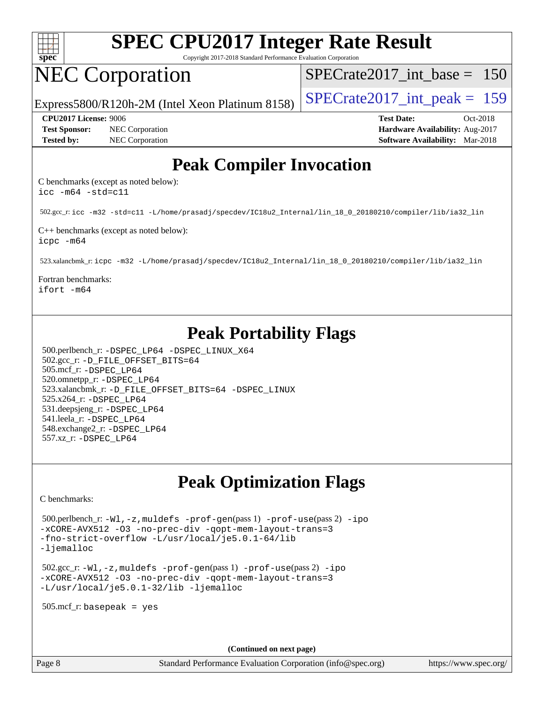

Copyright 2017-2018 Standard Performance Evaluation Corporation

## NEC Corporation

[SPECrate2017\\_int\\_base =](http://www.spec.org/auto/cpu2017/Docs/result-fields.html#SPECrate2017intbase) 150

Express5800/R120h-2M (Intel Xeon Platinum 8158)  $\vert$  [SPECrate2017\\_int\\_peak =](http://www.spec.org/auto/cpu2017/Docs/result-fields.html#SPECrate2017intpeak) 159

**[Test Sponsor:](http://www.spec.org/auto/cpu2017/Docs/result-fields.html#TestSponsor)** NEC Corporation **[Hardware Availability:](http://www.spec.org/auto/cpu2017/Docs/result-fields.html#HardwareAvailability)** Aug-2017 **[Tested by:](http://www.spec.org/auto/cpu2017/Docs/result-fields.html#Testedby)** NEC Corporation **[Software Availability:](http://www.spec.org/auto/cpu2017/Docs/result-fields.html#SoftwareAvailability)** Mar-2018

**[CPU2017 License:](http://www.spec.org/auto/cpu2017/Docs/result-fields.html#CPU2017License)** 9006 **[Test Date:](http://www.spec.org/auto/cpu2017/Docs/result-fields.html#TestDate)** Oct-2018

## **[Peak Compiler Invocation](http://www.spec.org/auto/cpu2017/Docs/result-fields.html#PeakCompilerInvocation)**

[C benchmarks \(except as noted below\)](http://www.spec.org/auto/cpu2017/Docs/result-fields.html#Cbenchmarksexceptasnotedbelow): [icc -m64 -std=c11](http://www.spec.org/cpu2017/results/res2018q4/cpu2017-20181015-09190.flags.html#user_CCpeak_intel_icc_64bit_c11_33ee0cdaae7deeeab2a9725423ba97205ce30f63b9926c2519791662299b76a0318f32ddfffdc46587804de3178b4f9328c46fa7c2b0cd779d7a61945c91cd35)

502.gcc\_r: [icc -m32 -std=c11 -L/home/prasadj/specdev/IC18u2\\_Internal/lin\\_18\\_0\\_20180210/compiler/lib/ia32\\_lin](http://www.spec.org/cpu2017/results/res2018q4/cpu2017-20181015-09190.flags.html#user_peakCCLD502_gcc_r_intel_icc_a481ac844e7127046fad14d498c730a1848fa901fbbb2c3dfdd5e9fbbac777c8009953946d55d8b6afe8ed0da70dd2b4f8dedbdf7ab1ee211ba70d24a5d89f85)

[C++ benchmarks \(except as noted below\):](http://www.spec.org/auto/cpu2017/Docs/result-fields.html#CXXbenchmarksexceptasnotedbelow) [icpc -m64](http://www.spec.org/cpu2017/results/res2018q4/cpu2017-20181015-09190.flags.html#user_CXXpeak_intel_icpc_64bit_4ecb2543ae3f1412ef961e0650ca070fec7b7afdcd6ed48761b84423119d1bf6bdf5cad15b44d48e7256388bc77273b966e5eb805aefd121eb22e9299b2ec9d9)

523.xalancbmk\_r: [icpc -m32 -L/home/prasadj/specdev/IC18u2\\_Internal/lin\\_18\\_0\\_20180210/compiler/lib/ia32\\_lin](http://www.spec.org/cpu2017/results/res2018q4/cpu2017-20181015-09190.flags.html#user_peakCXXLD523_xalancbmk_r_intel_icpc_c6d030cd79af6ea7d6fb64c57e8fe7ae8fe0b96fc5a3b3f4a10e3273b3d7fa9decd8263f6330cef23f751cb093a69fae84a2bf4c243500a8eed069248128076f)

[Fortran benchmarks:](http://www.spec.org/auto/cpu2017/Docs/result-fields.html#Fortranbenchmarks) [ifort -m64](http://www.spec.org/cpu2017/results/res2018q4/cpu2017-20181015-09190.flags.html#user_FCpeak_intel_ifort_64bit_24f2bb282fbaeffd6157abe4f878425411749daecae9a33200eee2bee2fe76f3b89351d69a8130dd5949958ce389cf37ff59a95e7a40d588e8d3a57e0c3fd751)

## **[Peak Portability Flags](http://www.spec.org/auto/cpu2017/Docs/result-fields.html#PeakPortabilityFlags)**

 500.perlbench\_r: [-DSPEC\\_LP64](http://www.spec.org/cpu2017/results/res2018q4/cpu2017-20181015-09190.flags.html#b500.perlbench_r_peakPORTABILITY_DSPEC_LP64) [-DSPEC\\_LINUX\\_X64](http://www.spec.org/cpu2017/results/res2018q4/cpu2017-20181015-09190.flags.html#b500.perlbench_r_peakCPORTABILITY_DSPEC_LINUX_X64) 502.gcc\_r: [-D\\_FILE\\_OFFSET\\_BITS=64](http://www.spec.org/cpu2017/results/res2018q4/cpu2017-20181015-09190.flags.html#user_peakPORTABILITY502_gcc_r_file_offset_bits_64_5ae949a99b284ddf4e95728d47cb0843d81b2eb0e18bdfe74bbf0f61d0b064f4bda2f10ea5eb90e1dcab0e84dbc592acfc5018bc955c18609f94ddb8d550002c) 505.mcf\_r: [-DSPEC\\_LP64](http://www.spec.org/cpu2017/results/res2018q4/cpu2017-20181015-09190.flags.html#suite_peakPORTABILITY505_mcf_r_DSPEC_LP64) 520.omnetpp\_r: [-DSPEC\\_LP64](http://www.spec.org/cpu2017/results/res2018q4/cpu2017-20181015-09190.flags.html#suite_peakPORTABILITY520_omnetpp_r_DSPEC_LP64) 523.xalancbmk\_r: [-D\\_FILE\\_OFFSET\\_BITS=64](http://www.spec.org/cpu2017/results/res2018q4/cpu2017-20181015-09190.flags.html#user_peakPORTABILITY523_xalancbmk_r_file_offset_bits_64_5ae949a99b284ddf4e95728d47cb0843d81b2eb0e18bdfe74bbf0f61d0b064f4bda2f10ea5eb90e1dcab0e84dbc592acfc5018bc955c18609f94ddb8d550002c) [-DSPEC\\_LINUX](http://www.spec.org/cpu2017/results/res2018q4/cpu2017-20181015-09190.flags.html#b523.xalancbmk_r_peakCXXPORTABILITY_DSPEC_LINUX) 525.x264\_r: [-DSPEC\\_LP64](http://www.spec.org/cpu2017/results/res2018q4/cpu2017-20181015-09190.flags.html#suite_peakPORTABILITY525_x264_r_DSPEC_LP64) 531.deepsjeng\_r: [-DSPEC\\_LP64](http://www.spec.org/cpu2017/results/res2018q4/cpu2017-20181015-09190.flags.html#suite_peakPORTABILITY531_deepsjeng_r_DSPEC_LP64) 541.leela\_r: [-DSPEC\\_LP64](http://www.spec.org/cpu2017/results/res2018q4/cpu2017-20181015-09190.flags.html#suite_peakPORTABILITY541_leela_r_DSPEC_LP64) 548.exchange2\_r: [-DSPEC\\_LP64](http://www.spec.org/cpu2017/results/res2018q4/cpu2017-20181015-09190.flags.html#suite_peakPORTABILITY548_exchange2_r_DSPEC_LP64) 557.xz\_r: [-DSPEC\\_LP64](http://www.spec.org/cpu2017/results/res2018q4/cpu2017-20181015-09190.flags.html#suite_peakPORTABILITY557_xz_r_DSPEC_LP64)

## **[Peak Optimization Flags](http://www.spec.org/auto/cpu2017/Docs/result-fields.html#PeakOptimizationFlags)**

[C benchmarks](http://www.spec.org/auto/cpu2017/Docs/result-fields.html#Cbenchmarks):

 500.perlbench\_r: [-Wl,-z,muldefs](http://www.spec.org/cpu2017/results/res2018q4/cpu2017-20181015-09190.flags.html#user_peakEXTRA_LDFLAGS500_perlbench_r_link_force_multiple1_b4cbdb97b34bdee9ceefcfe54f4c8ea74255f0b02a4b23e853cdb0e18eb4525ac79b5a88067c842dd0ee6996c24547a27a4b99331201badda8798ef8a743f577) [-prof-gen](http://www.spec.org/cpu2017/results/res2018q4/cpu2017-20181015-09190.flags.html#user_peakPASS1_CFLAGSPASS1_LDFLAGS500_perlbench_r_prof_gen_5aa4926d6013ddb2a31985c654b3eb18169fc0c6952a63635c234f711e6e63dd76e94ad52365559451ec499a2cdb89e4dc58ba4c67ef54ca681ffbe1461d6b36)(pass 1) [-prof-use](http://www.spec.org/cpu2017/results/res2018q4/cpu2017-20181015-09190.flags.html#user_peakPASS2_CFLAGSPASS2_LDFLAGS500_perlbench_r_prof_use_1a21ceae95f36a2b53c25747139a6c16ca95bd9def2a207b4f0849963b97e94f5260e30a0c64f4bb623698870e679ca08317ef8150905d41bd88c6f78df73f19)(pass 2) [-ipo](http://www.spec.org/cpu2017/results/res2018q4/cpu2017-20181015-09190.flags.html#user_peakPASS1_COPTIMIZEPASS2_COPTIMIZE500_perlbench_r_f-ipo) [-xCORE-AVX512](http://www.spec.org/cpu2017/results/res2018q4/cpu2017-20181015-09190.flags.html#user_peakPASS2_COPTIMIZE500_perlbench_r_f-xCORE-AVX512) [-O3](http://www.spec.org/cpu2017/results/res2018q4/cpu2017-20181015-09190.flags.html#user_peakPASS1_COPTIMIZEPASS2_COPTIMIZE500_perlbench_r_f-O3) [-no-prec-div](http://www.spec.org/cpu2017/results/res2018q4/cpu2017-20181015-09190.flags.html#user_peakPASS1_COPTIMIZEPASS2_COPTIMIZE500_perlbench_r_f-no-prec-div) [-qopt-mem-layout-trans=3](http://www.spec.org/cpu2017/results/res2018q4/cpu2017-20181015-09190.flags.html#user_peakPASS1_COPTIMIZEPASS2_COPTIMIZE500_perlbench_r_f-qopt-mem-layout-trans_de80db37974c74b1f0e20d883f0b675c88c3b01e9d123adea9b28688d64333345fb62bc4a798493513fdb68f60282f9a726aa07f478b2f7113531aecce732043) [-fno-strict-overflow](http://www.spec.org/cpu2017/results/res2018q4/cpu2017-20181015-09190.flags.html#user_peakEXTRA_OPTIMIZE500_perlbench_r_f-fno-strict-overflow) [-L/usr/local/je5.0.1-64/lib](http://www.spec.org/cpu2017/results/res2018q4/cpu2017-20181015-09190.flags.html#user_peakEXTRA_LIBS500_perlbench_r_jemalloc_link_path64_4b10a636b7bce113509b17f3bd0d6226c5fb2346b9178c2d0232c14f04ab830f976640479e5c33dc2bcbbdad86ecfb6634cbbd4418746f06f368b512fced5394) [-ljemalloc](http://www.spec.org/cpu2017/results/res2018q4/cpu2017-20181015-09190.flags.html#user_peakEXTRA_LIBS500_perlbench_r_jemalloc_link_lib_d1249b907c500fa1c0672f44f562e3d0f79738ae9e3c4a9c376d49f265a04b9c99b167ecedbf6711b3085be911c67ff61f150a17b3472be731631ba4d0471706)

 502.gcc\_r: [-Wl,-z,muldefs](http://www.spec.org/cpu2017/results/res2018q4/cpu2017-20181015-09190.flags.html#user_peakEXTRA_LDFLAGS502_gcc_r_link_force_multiple1_b4cbdb97b34bdee9ceefcfe54f4c8ea74255f0b02a4b23e853cdb0e18eb4525ac79b5a88067c842dd0ee6996c24547a27a4b99331201badda8798ef8a743f577) [-prof-gen](http://www.spec.org/cpu2017/results/res2018q4/cpu2017-20181015-09190.flags.html#user_peakPASS1_CFLAGSPASS1_LDFLAGS502_gcc_r_prof_gen_5aa4926d6013ddb2a31985c654b3eb18169fc0c6952a63635c234f711e6e63dd76e94ad52365559451ec499a2cdb89e4dc58ba4c67ef54ca681ffbe1461d6b36)(pass 1) [-prof-use](http://www.spec.org/cpu2017/results/res2018q4/cpu2017-20181015-09190.flags.html#user_peakPASS2_CFLAGSPASS2_LDFLAGS502_gcc_r_prof_use_1a21ceae95f36a2b53c25747139a6c16ca95bd9def2a207b4f0849963b97e94f5260e30a0c64f4bb623698870e679ca08317ef8150905d41bd88c6f78df73f19)(pass 2) [-ipo](http://www.spec.org/cpu2017/results/res2018q4/cpu2017-20181015-09190.flags.html#user_peakPASS1_COPTIMIZEPASS2_COPTIMIZE502_gcc_r_f-ipo) [-xCORE-AVX512](http://www.spec.org/cpu2017/results/res2018q4/cpu2017-20181015-09190.flags.html#user_peakPASS2_COPTIMIZE502_gcc_r_f-xCORE-AVX512) [-O3](http://www.spec.org/cpu2017/results/res2018q4/cpu2017-20181015-09190.flags.html#user_peakPASS1_COPTIMIZEPASS2_COPTIMIZE502_gcc_r_f-O3) [-no-prec-div](http://www.spec.org/cpu2017/results/res2018q4/cpu2017-20181015-09190.flags.html#user_peakPASS1_COPTIMIZEPASS2_COPTIMIZE502_gcc_r_f-no-prec-div) [-qopt-mem-layout-trans=3](http://www.spec.org/cpu2017/results/res2018q4/cpu2017-20181015-09190.flags.html#user_peakPASS1_COPTIMIZEPASS2_COPTIMIZE502_gcc_r_f-qopt-mem-layout-trans_de80db37974c74b1f0e20d883f0b675c88c3b01e9d123adea9b28688d64333345fb62bc4a798493513fdb68f60282f9a726aa07f478b2f7113531aecce732043) [-L/usr/local/je5.0.1-32/lib](http://www.spec.org/cpu2017/results/res2018q4/cpu2017-20181015-09190.flags.html#user_peakEXTRA_LIBS502_gcc_r_jemalloc_link_path32_e29f22e8e6c17053bbc6a0971f5a9c01a601a06bb1a59df2084b77a2fe0a2995b64fd4256feaeea39eeba3aae142e96e2b2b0a28974019c0c0c88139a84f900a) [-ljemalloc](http://www.spec.org/cpu2017/results/res2018q4/cpu2017-20181015-09190.flags.html#user_peakEXTRA_LIBS502_gcc_r_jemalloc_link_lib_d1249b907c500fa1c0672f44f562e3d0f79738ae9e3c4a9c376d49f265a04b9c99b167ecedbf6711b3085be911c67ff61f150a17b3472be731631ba4d0471706)

505.mcf\_r: basepeak = yes

**(Continued on next page)**

Page 8 Standard Performance Evaluation Corporation [\(info@spec.org\)](mailto:info@spec.org) <https://www.spec.org/>